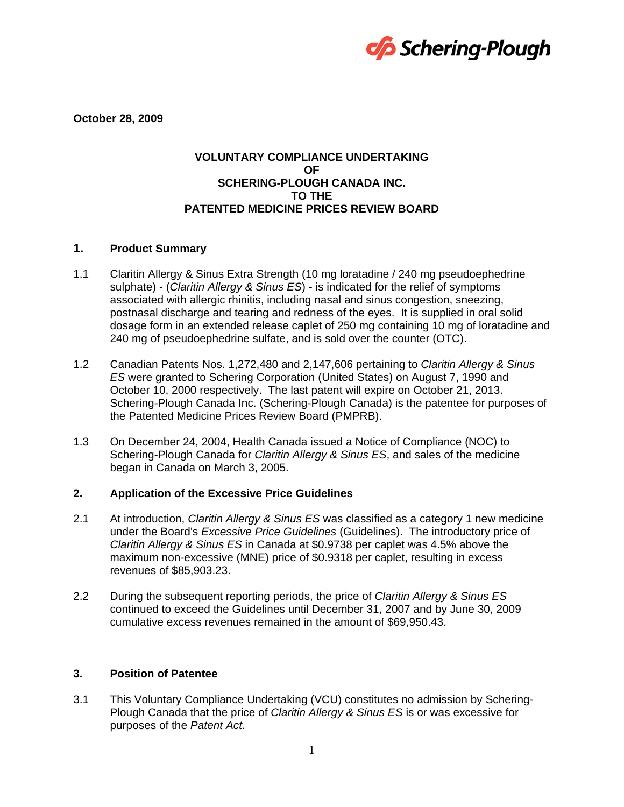

**October 28, 2009** 

## **VOLUNTARY COMPLIANCE UNDERTAKING OF SCHERING-PLOUGH CANADA INC. TO THE PATENTED MEDICINE PRICES REVIEW BOARD**

# **1. Product Summary**

- 1.1 Claritin Allergy & Sinus Extra Strength (10 mg loratadine / 240 mg pseudoephedrine sulphate) - (*Claritin Allergy & Sinus ES*) - is indicated for the relief of symptoms associated with allergic rhinitis, including nasal and sinus congestion, sneezing, postnasal discharge and tearing and redness of the eyes. It is supplied in oral solid dosage form in an extended release caplet of 250 mg containing 10 mg of loratadine and 240 mg of pseudoephedrine sulfate, and is sold over the counter (OTC).
- 1.2 Canadian Patents Nos. 1,272,480 and 2,147,606 pertaining to *Claritin Allergy & Sinus ES* were granted to Schering Corporation (United States) on August 7, 1990 and October 10, 2000 respectively. The last patent will expire on October 21, 2013. Schering-Plough Canada Inc. (Schering-Plough Canada) is the patentee for purposes of the Patented Medicine Prices Review Board (PMPRB).
- 1.3 On December 24, 2004, Health Canada issued a Notice of Compliance (NOC) to Schering-Plough Canada for *Claritin Allergy & Sinus ES*, and sales of the medicine began in Canada on March 3, 2005.

#### **2. Application of the Excessive Price Guidelines**

- 2.1 At introduction, *Claritin Allergy & Sinus ES* was classified as a category 1 new medicine under the Board's *Excessive Price Guidelines* (Guidelines). The introductory price of *Claritin Allergy & Sinus ES* in Canada at \$0.9738 per caplet was 4.5% above the maximum non-excessive (MNE) price of \$0.9318 per caplet, resulting in excess revenues of \$85,903.23.
- 2.2 During the subsequent reporting periods, the price of *Claritin Allergy & Sinus ES* continued to exceed the Guidelines until December 31, 2007 and by June 30, 2009 cumulative excess revenues remained in the amount of \$69,950.43.

## **3. Position of Patentee**

3.1 This Voluntary Compliance Undertaking (VCU) constitutes no admission by Schering-Plough Canada that the price of *Claritin Allergy & Sinus ES* is or was excessive for purposes of the *Patent Act*.